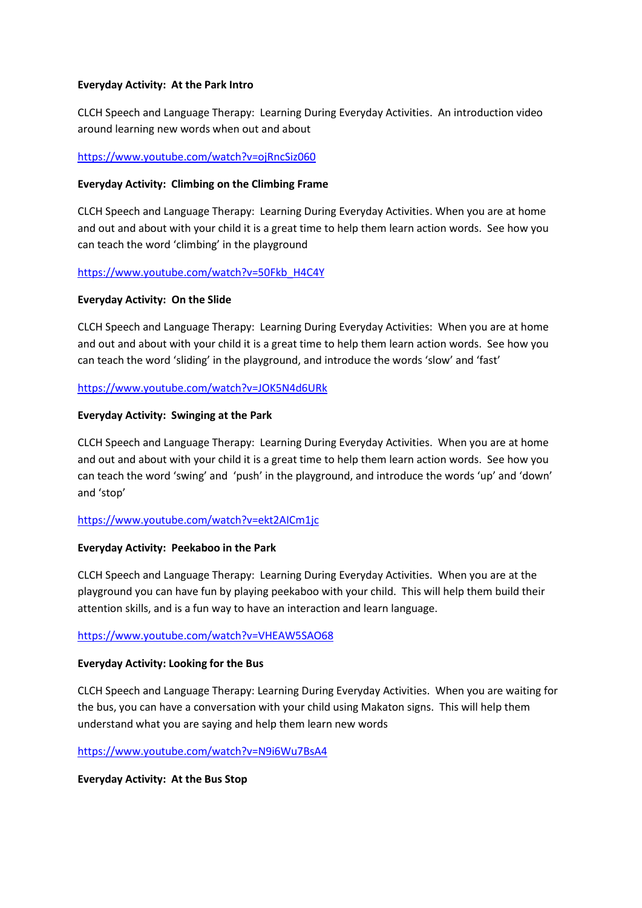### **Everyday Activity: At the Park Intro**

CLCH Speech and Language Therapy: Learning During Everyday Activities. An introduction video around learning new words when out and about

<https://www.youtube.com/watch?v=ojRncSiz060>

#### **Everyday Activity: Climbing on the Climbing Frame**

CLCH Speech and Language Therapy: Learning During Everyday Activities. When you are at home and out and about with your child it is a great time to help them learn action words. See how you can teach the word 'climbing' in the playground

[https://www.youtube.com/watch?v=50Fkb\\_H4C4Y](https://www.youtube.com/watch?v=50Fkb_H4C4Y)

#### **Everyday Activity: On the Slide**

CLCH Speech and Language Therapy: Learning During Everyday Activities: When you are at home and out and about with your child it is a great time to help them learn action words. See how you can teach the word 'sliding' in the playground, and introduce the words 'slow' and 'fast'

#### <https://www.youtube.com/watch?v=JOK5N4d6URk>

#### **Everyday Activity: Swinging at the Park**

CLCH Speech and Language Therapy: Learning During Everyday Activities. When you are at home and out and about with your child it is a great time to help them learn action words. See how you can teach the word 'swing' and 'push' in the playground, and introduce the words 'up' and 'down' and 'stop'

### <https://www.youtube.com/watch?v=ekt2AICm1jc>

#### **Everyday Activity: Peekaboo in the Park**

CLCH Speech and Language Therapy: Learning During Everyday Activities. When you are at the playground you can have fun by playing peekaboo with your child. This will help them build their attention skills, and is a fun way to have an interaction and learn language.

#### <https://www.youtube.com/watch?v=VHEAW5SAO68>

### **Everyday Activity: Looking for the Bus**

CLCH Speech and Language Therapy: Learning During Everyday Activities. When you are waiting for the bus, you can have a conversation with your child using Makaton signs. This will help them understand what you are saying and help them learn new words

#### <https://www.youtube.com/watch?v=N9i6Wu7BsA4>

### **Everyday Activity: At the Bus Stop**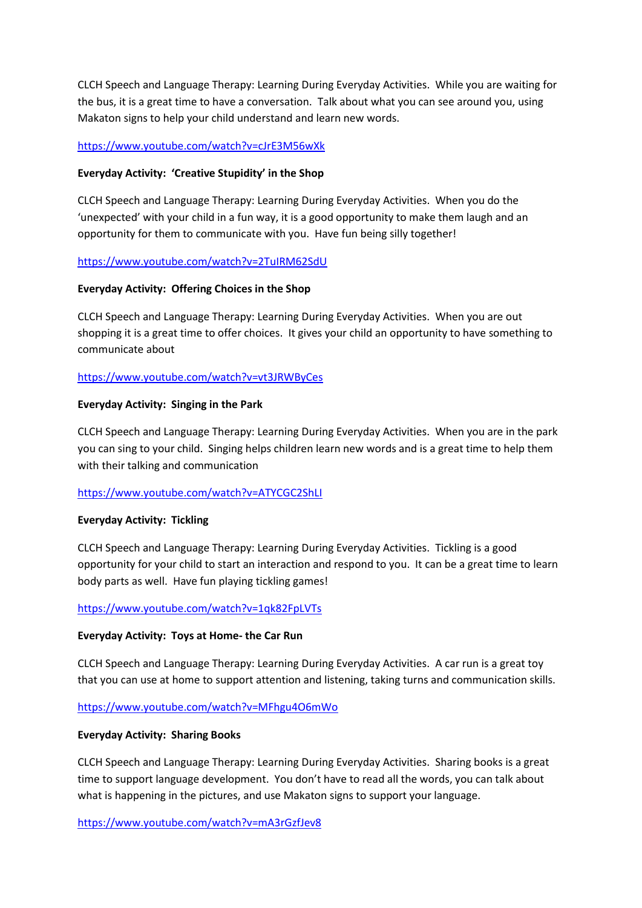CLCH Speech and Language Therapy: Learning During Everyday Activities. While you are waiting for the bus, it is a great time to have a conversation. Talk about what you can see around you, using Makaton signs to help your child understand and learn new words.

# <https://www.youtube.com/watch?v=cJrE3M56wXk>

# **Everyday Activity: 'Creative Stupidity' in the Shop**

CLCH Speech and Language Therapy: Learning During Everyday Activities. When you do the 'unexpected' with your child in a fun way, it is a good opportunity to make them laugh and an opportunity for them to communicate with you. Have fun being silly together!

# <https://www.youtube.com/watch?v=2TuIRM62SdU>

### **Everyday Activity: Offering Choices in the Shop**

CLCH Speech and Language Therapy: Learning During Everyday Activities. When you are out shopping it is a great time to offer choices. It gives your child an opportunity to have something to communicate about

# <https://www.youtube.com/watch?v=vt3JRWByCes>

# **Everyday Activity: Singing in the Park**

CLCH Speech and Language Therapy: Learning During Everyday Activities. When you are in the park you can sing to your child. Singing helps children learn new words and is a great time to help them with their talking and communication

### <https://www.youtube.com/watch?v=ATYCGC2ShLI>

### **Everyday Activity: Tickling**

CLCH Speech and Language Therapy: Learning During Everyday Activities. Tickling is a good opportunity for your child to start an interaction and respond to you. It can be a great time to learn body parts as well. Have fun playing tickling games!

### <https://www.youtube.com/watch?v=1qk82FpLVTs>

### **Everyday Activity: Toys at Home- the Car Run**

CLCH Speech and Language Therapy: Learning During Everyday Activities. A car run is a great toy that you can use at home to support attention and listening, taking turns and communication skills.

<https://www.youtube.com/watch?v=MFhgu4O6mWo>

### **Everyday Activity: Sharing Books**

CLCH Speech and Language Therapy: Learning During Everyday Activities. Sharing books is a great time to support language development. You don't have to read all the words, you can talk about what is happening in the pictures, and use Makaton signs to support your language.

<https://www.youtube.com/watch?v=mA3rGzfJev8>